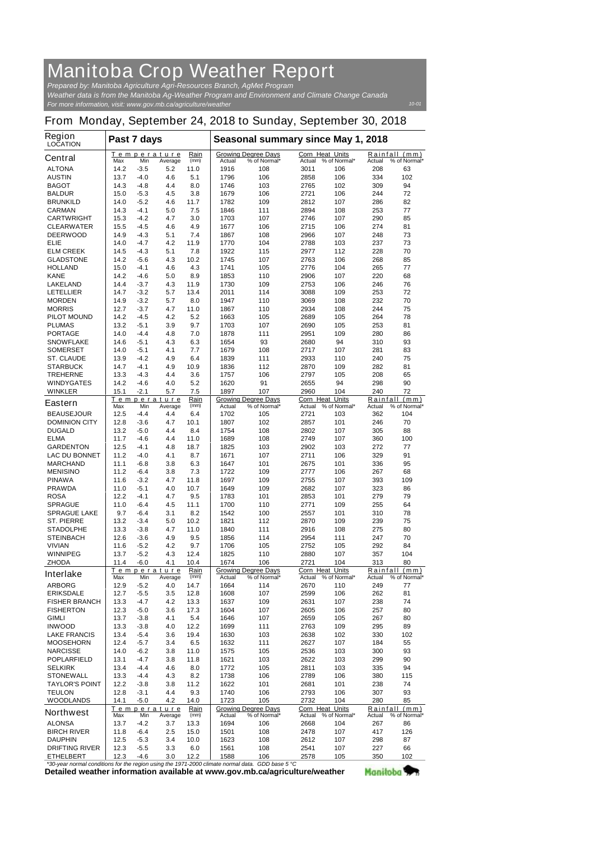## **Manitoba Crop Weather Report**

*For more information, visit: www.gov.mb.ca/agriculture/weather Prepared by: Manitoba Agriculture Agri-Resources Branch, AgMet Program Weather data is from the Manitoba Ag-Weather Program and Environment and Climate Change Canada*

## **From Monday, September 24, 2018 to Sunday, September 30, 2018**

| <b>Region</b><br><b>LOCATION</b>                             | Past 7 days  |                  |                                             |              | Seasonal summary since May 1, 2018                                                       |                                            |                 |                     |                                         |                               |  |
|--------------------------------------------------------------|--------------|------------------|---------------------------------------------|--------------|------------------------------------------------------------------------------------------|--------------------------------------------|-----------------|---------------------|-----------------------------------------|-------------------------------|--|
| <b>Central</b>                                               | Max          | Min              | Temperature<br>Average                      | Rain<br>(mm) | <b>Actual</b>                                                                            | <b>Growing Degree Days</b><br>% of Normal* | Corn Heat Units | Actual % of Normal* | Actual                                  | Rainfall (mm)<br>% of Normal* |  |
| <b>ALTONA</b>                                                | 14.2         | $-3.5$           | 5.2                                         | 11.0         | 1916                                                                                     | 108                                        | 3011            | 106                 | 208                                     | 63                            |  |
| <b>AUSTIN</b>                                                | 13.7         | $-4.0$           | 4.6                                         | 5.1          | 1796                                                                                     | 106                                        | 2858            | 106                 | 334                                     | 102                           |  |
| <b>BAGOT</b>                                                 | 14.3         | -4.8             | 4.4                                         | 8.0          | 1746                                                                                     | 103                                        | 2765            | 102                 | 309                                     | 94                            |  |
| <b>BALDUR</b>                                                | 15.0         | $-5.3$           | 4.5                                         | 3.8          | 1679                                                                                     | 106                                        | 2721            | 106                 | 244                                     | 72                            |  |
| <b>BRUNKILD</b>                                              | 14.0         | $-5.2$           | 4.6                                         | 11.7         | 1782                                                                                     | 109                                        | 2812            | 107                 | 286                                     | 82                            |  |
| <b>CARMAN</b><br><b>CARTWRIGHT</b>                           | 14.3<br>15.3 | $-4.1$<br>$-4.2$ | 5.0<br>4.7                                  | 7.5<br>3.0   | 1846<br>1703                                                                             | 111<br>107                                 | 2894<br>2746    | 108<br>107          | 253<br>290                              | 77<br>85                      |  |
| <b>CLEARWATER</b>                                            | 15.5         | $-4.5$           | 4.6                                         | 4.9          | 1677                                                                                     | 106                                        | 2715            | 106                 | 274                                     | 81                            |  |
| <b>DEERWOOD</b>                                              | 14.9         | $-4.3$           | 5.1                                         | 7.4          | 1867                                                                                     | 108                                        | 2966            | 107                 | 248                                     | 73                            |  |
| <b>ELIE</b>                                                  | 14.0         | $-4.7$           | 4.2                                         | 11.9         | 1770                                                                                     | 104                                        | 2788            | 103                 | 237                                     | 73                            |  |
| <b>ELM CREEK</b>                                             | 14.5         | $-4.3$           | 5.1                                         | 7.8          | 1922                                                                                     | 115                                        | 2977            | 112                 | 228                                     | 70                            |  |
| <b>GLADSTONE</b>                                             | 14.2         | $-5.6$           | 4.3                                         | 10.2         | 1745                                                                                     | 107                                        | 2763            | 106                 | 268                                     | 85                            |  |
| <b>HOLLAND</b>                                               | 15.0         | -4.1             | 4.6                                         | 4.3          | 1741                                                                                     | 105                                        | 2776            | 104                 | 265                                     | 77                            |  |
| <b>KANE</b>                                                  | 14.2         | -4.6             | 5.0                                         | 8.9          | 1853                                                                                     | 110                                        | 2906            | 107                 | 220                                     | 68                            |  |
| <b>LAKELAND</b><br><b>LETELLIER</b>                          | 14.4<br>14.7 | $-3.7$<br>$-3.2$ | 4.3<br>5.7                                  | 11.9<br>13.4 | 1730<br>2011                                                                             | 109<br>114                                 | 2753<br>3088    | 106<br>109          | 246<br>253                              | 76<br>72                      |  |
| <b>MORDEN</b>                                                | 14.9         | $-3.2$           | 5.7                                         | 8.0          | 1947                                                                                     | 110                                        | 3069            | 108                 | 232                                     | 70                            |  |
| <b>MORRIS</b>                                                | 12.7         | $-3.7$           | 4.7                                         | 11.0         | 1867                                                                                     | 110                                        | 2934            | 108                 | 244                                     | 75                            |  |
| <b>PILOT MOUND</b>                                           | 14.2         | $-4.5$           | 4.2                                         | 5.2          | 1663                                                                                     | 105                                        | 2689            | 105                 | 264                                     | 78                            |  |
| <b>PLUMAS</b>                                                | 13.2         | $-5.1$           | 3.9                                         | 9.7          | 1703                                                                                     | 107                                        | 2690            | 105                 | 253                                     | 81                            |  |
| <b>PORTAGE</b>                                               | 14.0         | $-4.4$           | 4.8                                         | 7.0          | 1878                                                                                     | 111                                        | 2951            | 109                 | 280                                     | 86                            |  |
| <b>SNOWFLAKE</b>                                             | 14.6         | $-5.1$           | 4.3                                         | 6.3          | 1654                                                                                     | 93                                         | 2680            | 94                  | 310                                     | 93                            |  |
| <b>SOMERSET</b>                                              | 14.0         | $-5.1$           | 4.1                                         | 7.7          | 1679                                                                                     | 108                                        | 2717            | 107                 | 281                                     | 83                            |  |
| <b>ST. CLAUDE</b>                                            | 13.9         | $-4.2$           | 4.9                                         | 6.4          | 1839                                                                                     | 111                                        | 2933            | 110                 | 240                                     | 75                            |  |
| <b>STARBUCK</b>                                              | 14.7         | $-4.1$<br>$-4.3$ | 4.9                                         | 10.9         | 1836<br>1757                                                                             | 112<br>106                                 | 2870            | 109                 | 282<br>208                              | 81<br>65                      |  |
| <b>TREHERNE</b><br><b>WINDYGATES</b>                         | 13.3<br>14.2 | $-4.6$           | 4.4<br>4.0                                  | 3.6<br>5.2   | 1620                                                                                     | 91                                         | 2797<br>2655    | 105<br>94           | 298                                     | 90                            |  |
| <b>WINKLER</b>                                               | 15.1         | $-2.1$           | 5.7                                         | 7.5          | 1897                                                                                     | 107                                        | 2960            | 104                 | 240                                     | 72                            |  |
|                                                              |              |                  | Temperature                                 | Rain         |                                                                                          | <b>Growing Degree Days</b>                 | Corn Heat       | <b>Units</b>        | Rainfall                                | (mm)                          |  |
| <b>Eastern</b>                                               | Max          | Min              | Average                                     | (mm)         | Actual                                                                                   | % of Normal*                               | Actual          | % of Normal*        | Actual                                  | % of Normal*                  |  |
| <b>BEAUSEJOUR</b>                                            | 12.5         | -4.4             | 4.4                                         | 6.4          | 1702                                                                                     | 105                                        | 2721            | 103                 | 362                                     | 104                           |  |
| <b>DOMINION CITY</b>                                         | 12.8         | $-3.6$           | 4.7                                         | 10.1         | 1807                                                                                     | 102                                        | 2857            | 101                 | 246                                     | 70                            |  |
| <b>DUGALD</b>                                                | 13.2         | $-5.0$           | 4.4                                         | 8.4          | 1754                                                                                     | 108                                        | 2802            | 107                 | 305                                     | 88                            |  |
| <b>ELMA</b>                                                  | 11.7         | -4.6             | 4.4                                         | 11.0         | 1689                                                                                     | 108                                        | 2749            | 107                 | 360                                     | 100                           |  |
| <b>GARDENTON</b><br><b>LAC DU BONNET</b>                     | 12.5<br>11.2 | $-4.1$<br>$-4.0$ | 4.8<br>4.1                                  | 18.7<br>8.7  | 1825<br>1671                                                                             | 103<br>107                                 | 2902<br>2711    | 103<br>106          | 272<br>329                              | 77<br>91                      |  |
| <b>MARCHAND</b>                                              | 11.1         | $-6.8$           | 3.8                                         | 6.3          | 1647                                                                                     | 101                                        | 2675            | 101                 | 336                                     | 95                            |  |
| <b>MENISINO</b>                                              | 11.2         | -6.4             | 3.8                                         | 7.3          | 1722                                                                                     | 109                                        | 2777            | 106                 | 267                                     | 68                            |  |
| <b>PINAWA</b>                                                | 11.6         | $-3.2$           | 4.7                                         | 11.8         | 1697                                                                                     | 109                                        | 2755            | 107                 | 393                                     | 109                           |  |
| <b>PRAWDA</b>                                                | 11.0         | $-5.1$           | 4.0                                         | 10.7         | 1649                                                                                     | 109                                        | 2682            | 107                 | 323                                     | 86                            |  |
| <b>ROSA</b>                                                  | 12.2         | $-4.1$           | 4.7                                         | 9.5          | 1783                                                                                     | 101                                        | 2853            | 101                 | 279                                     | 79                            |  |
| <b>SPRAGUE</b>                                               | 11.0         | -6.4             | 4.5                                         | 11.1         | 1700                                                                                     | 110                                        | 2771            | 109                 | 255                                     | 64                            |  |
| <b>SPRAGUE LAKE</b>                                          | 9.7          | -6.4             | 3.1                                         | 8.2          | 1542                                                                                     | 100                                        | 2557            | 101                 | 310                                     | 78                            |  |
| <b>ST. PIERRE</b>                                            | 13.2         | $-3.4$           | 5.0                                         | 10.2         | 1821                                                                                     | 112                                        | 2870            | 109                 | 239                                     | 75                            |  |
| <b>STADOLPHE</b>                                             | 13.3         | $-3.8$           | 4.7                                         | 11.0         | 1840                                                                                     | 111                                        | 2916            | 108                 | 275                                     | 80                            |  |
| <b>STEINBACH</b><br><b>VIVIAN</b>                            | 12.6<br>11.6 | $-3.6$<br>-5.2   | 4.9<br>4.2                                  | 9.5<br>9.7   | 1856<br>1706                                                                             | 114<br>105                                 | 2954<br>2752    | 111<br>105          | 247<br>292                              | 70<br>84                      |  |
| <b>WINNIPEG</b>                                              | 13.7         | $-5.2$           | 4.3                                         | 12.4         | 1825                                                                                     | 110                                        | 2880            | 107                 | 357                                     | 104                           |  |
| <b>ZHODA</b>                                                 | 11.4         | -6.0             | 4.1                                         | 10.4         | 1674                                                                                     | 106                                        | 2721            | 104                 | 313                                     | 80                            |  |
|                                                              |              |                  | <u>Temperature</u>                          | Rain         |                                                                                          | <b>Growing Degree Days</b>                 | Corn Heat Units |                     | Rainfall                                | (mm)                          |  |
| <b>Interlake</b>                                             | Max          | Min              | Average                                     | (mm)         | Actual                                                                                   | % of Normal*                               | Actual          | % of Normal*        | Actual                                  | % of Normal*                  |  |
| <b>ARBORG</b>                                                | 12.9         | -5.2             | 4.0                                         | 14.7         | 1664                                                                                     | 114                                        | 2670            | 110                 | 249                                     | 77                            |  |
| <b>ERIKSDALE</b>                                             | 12.7         | $-5.5$           | 3.5                                         | 12.8         | 1608                                                                                     | 107                                        | 2599            | 106                 | 262                                     | 81                            |  |
| <b>FISHER BRANCH</b>                                         | 13.3         | -4.7             | 4.2                                         | 13.3         | 1637                                                                                     | 109                                        | 2631            | 107                 | 238                                     | 74                            |  |
| <b>FISHERTON</b><br><b>GIMLI</b>                             | 12.3<br>13.7 | -5.0<br>$-3.8$   | 3.6<br>4.1                                  | 17.3<br>5.4  | 1604<br>1646                                                                             | 107<br>107                                 | 2605<br>2659    | 106<br>105          | 257<br>267                              | 80<br>80                      |  |
| <b>INWOOD</b>                                                | 13.3         | $-3.8$           | 4.0                                         | 12.2         | 1699                                                                                     | 111                                        | 2763            | 109                 | 295                                     | 89                            |  |
| <b>LAKE FRANCIS</b>                                          | 13.4         | -5.4             | 3.6                                         | 19.4         | 1630                                                                                     | 103                                        | 2638            | 102                 | 330                                     | 102                           |  |
| <b>MOOSEHORN</b>                                             | 12.4         | $-5.7$           | 3.4                                         | 6.5          | 1632                                                                                     | 111                                        | 2627            | 107                 | 184                                     | 55                            |  |
| <b>NARCISSE</b>                                              | 14.0         | $-6.2$           | 3.8                                         | 11.0         | 1575                                                                                     | 105                                        | 2536            | 103                 | 300                                     | 93                            |  |
| <b>POPLARFIELD</b>                                           | 13.1         | -4.7             | 3.8                                         | 11.8         | 1621                                                                                     | 103                                        | 2622            | 103                 | 299                                     | 90                            |  |
| <b>SELKIRK</b>                                               | 13.4         | -4.4             | 4.6                                         | 8.0          | 1772                                                                                     | 105                                        | 2811            | 103                 | 335                                     | 94                            |  |
| <b>STONEWALL</b>                                             | 13.3         | -4.4             | 4.3                                         | 8.2          | 1738                                                                                     | 106                                        | 2789            | 106                 | 380                                     | 115                           |  |
| <b>TAYLOR'S POINT</b>                                        | 12.2         | $-3.8$           | 3.8                                         | 11.2         | 1622                                                                                     | 101                                        | 2681            | 101                 | 238                                     | 74                            |  |
| <b>TEULON</b>                                                | 12.8         | $-3.1$           | 4.4                                         | 9.3          | 1740                                                                                     | 106                                        | 2793            | 106                 | 307                                     | 93                            |  |
| <b>WOODLANDS</b>                                             | 14.1         | $-5.0$           | 4.2                                         | 14.0         | 1723                                                                                     | 105                                        | 2732            | 104                 | 280                                     | 85                            |  |
| <b>Northwest</b>                                             | Max          | Min              | Temperature<br>Average                      | Rain<br>(mm) | <b>Corn Heat Units</b><br><b>Growing Degree Days</b><br>Actual<br>% of Normal*<br>Actual |                                            |                 | % of Normal*        | Rainfall (mm)<br>% of Normal*<br>Actual |                               |  |
| <b>ALONSA</b>                                                | 13.7         | -4.2             | 3.7                                         | 13.3         | 1694                                                                                     | 106                                        | 2668            | 104                 | 267                                     | 86                            |  |
| <b>BIRCH RIVER</b>                                           | 11.8         | -6.4             | 2.5                                         | 15.0         | 1501                                                                                     | 108                                        | 2478            | 107                 | 417                                     | 126                           |  |
| <b>DAUPHIN</b>                                               | 12.5         | $-5.3$           | 3.4                                         | 10.0         | 1623                                                                                     | 108                                        | 2612            | 107                 | 298                                     | 87                            |  |
| <b>DRIFTING RIVER</b>                                        | 12.3         | -5.5             | 3.3                                         | 6.0          | 1561                                                                                     | 108                                        | 2541            | 107                 | 227                                     | 66                            |  |
| <b>ETHELBERT</b><br>armal conditions for the region<br>$*20$ | 12.3         | -4.6             | 3.0<br>$m \cdot n$ the 1071.0000 slimete ne | 12.2         | 1588<br>mol doto                                                                         | 106<br>$CDD$ hoog $E \, \Omega$            | 2578            | 105                 | 350                                     | 102                           |  |

**Detailed weather information available at www.gov.mb.ca/agriculture/weather** *\*30-year normal conditions for the region using the 1971-2000 climate normal data. GDD base 5 °C* Manitoba<sup>y</sup>